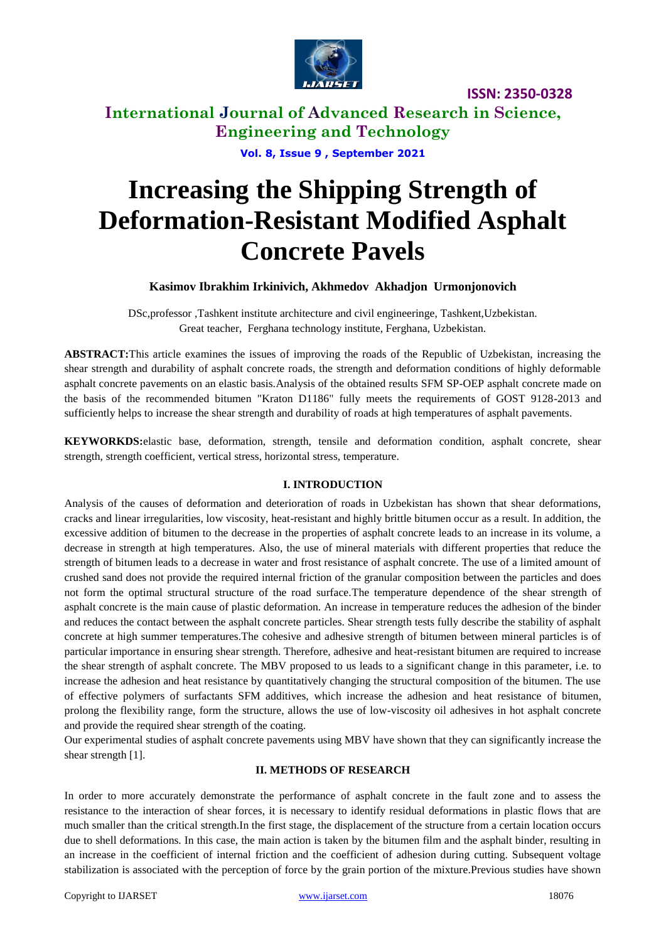

**International Journal of Advanced Research in Science, Engineering and Technology**

**Vol. 8, Issue 9 , September 2021**

# **Increasing the Shipping Strength of Deformation-Resistant Modified Asphalt Concrete Pavels**

## **Kasimov Ibrakhim Irkinivich, Akhmedov Akhadjon Urmonjonovich**

DSc,professor ,Tashkent institute architecture and civil engineeringe, Tashkent,Uzbekistan. Great teacher, Ferghana technology institute, Ferghana, Uzbekistan.

**ABSTRACT:**This article examines the issues of improving the roads of the Republic of Uzbekistan, increasing the shear strength and durability of asphalt concrete roads, the strength and deformation conditions of highly deformable asphalt concrete pavements on an elastic basis.Analysis of the obtained results SFM SP-OEP asphalt concrete made on the basis of the recommended bitumen "Kraton D1186" fully meets the requirements of GOST 9128-2013 and sufficiently helps to increase the shear strength and durability of roads at high temperatures of asphalt pavements.

**KEYWORKDS:**elastic base, deformation, strength, tensile and deformation condition, asphalt concrete, shear strength, strength coefficient, vertical stress, horizontal stress, temperature.

## **I. INTRODUCTION**

Analysis of the causes of deformation and deterioration of roads in Uzbekistan has shown that shear deformations, cracks and linear irregularities, low viscosity, heat-resistant and highly brittle bitumen occur as a result. In addition, the excessive addition of bitumen to the decrease in the properties of asphalt concrete leads to an increase in its volume, a decrease in strength at high temperatures. Also, the use of mineral materials with different properties that reduce the strength of bitumen leads to a decrease in water and frost resistance of asphalt concrete. The use of a limited amount of crushed sand does not provide the required internal friction of the granular composition between the particles and does not form the optimal structural structure of the road surface.The temperature dependence of the shear strength of asphalt concrete is the main cause of plastic deformation. An increase in temperature reduces the adhesion of the binder and reduces the contact between the asphalt concrete particles. Shear strength tests fully describe the stability of asphalt concrete at high summer temperatures.The cohesive and adhesive strength of bitumen between mineral particles is of particular importance in ensuring shear strength. Therefore, adhesive and heat-resistant bitumen are required to increase the shear strength of asphalt concrete. The MBV proposed to us leads to a significant change in this parameter, i.e. to increase the adhesion and heat resistance by quantitatively changing the structural composition of the bitumen. The use of effective polymers of surfactants SFM additives, which increase the adhesion and heat resistance of bitumen, prolong the flexibility range, form the structure, allows the use of low-viscosity oil adhesives in hot asphalt concrete and provide the required shear strength of the coating.

Our experimental studies of asphalt concrete pavements using MBV have shown that they can significantly increase the shear strength [1].

### **II. METHODS OF RESEARCH**

In order to more accurately demonstrate the performance of asphalt concrete in the fault zone and to assess the resistance to the interaction of shear forces, it is necessary to identify residual deformations in plastic flows that are much smaller than the critical strength.In the first stage, the displacement of the structure from a certain location occurs due to shell deformations. In this case, the main action is taken by the bitumen film and the asphalt binder, resulting in an increase in the coefficient of internal friction and the coefficient of adhesion during cutting. Subsequent voltage stabilization is associated with the perception of force by the grain portion of the mixture.Previous studies have shown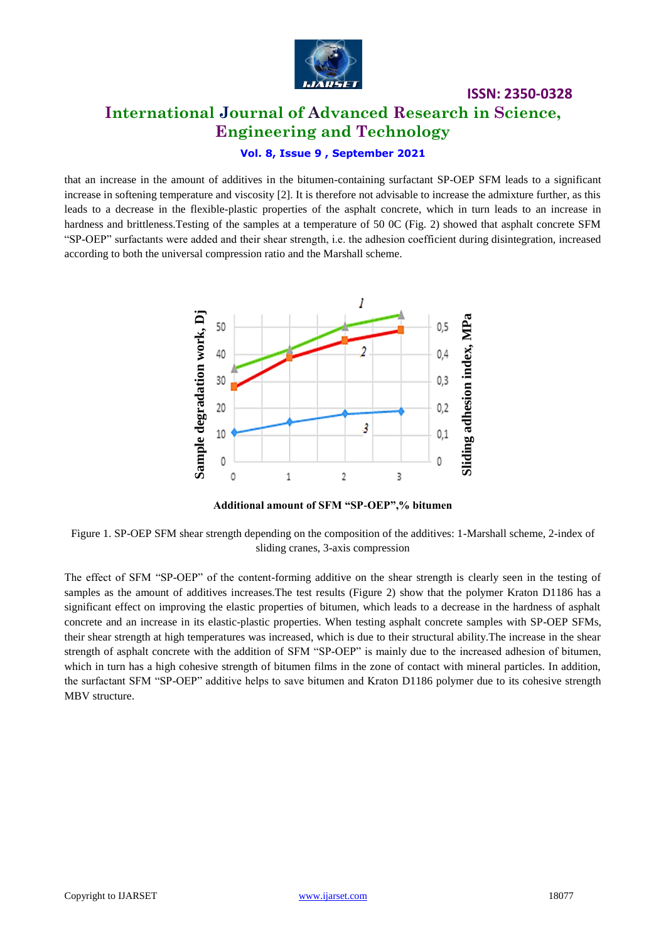

# **ISSN: 2350-0328 International Journal of Advanced Research in Science, Engineering and Technology**

## **Vol. 8, Issue 9 , September 2021**

that an increase in the amount of additives in the bitumen-containing surfactant SP-OEP SFM leads to a significant increase in softening temperature and viscosity [2]. It is therefore not advisable to increase the admixture further, as this leads to a decrease in the flexible-plastic properties of the asphalt concrete, which in turn leads to an increase in hardness and brittleness. Testing of the samples at a temperature of 50 0C (Fig. 2) showed that asphalt concrete SFM "SP-OEP" surfactants were added and their shear strength, i.e. the adhesion coefficient during disintegration, increased according to both the universal compression ratio and the Marshall scheme.



**Additional amount of SFM "SP-OEP",% bitumen**

Figure 1. SP-OEP SFM shear strength depending on the composition of the additives: 1-Marshall scheme, 2-index of sliding cranes, 3-axis compression

The effect of SFM "SP-OEP" of the content-forming additive on the shear strength is clearly seen in the testing of samples as the amount of additives increases. The test results (Figure 2) show that the polymer Kraton D1186 has a significant effect on improving the elastic properties of bitumen, which leads to a decrease in the hardness of asphalt concrete and an increase in its elastic-plastic properties. When testing asphalt concrete samples with SP-OEP SFMs, their shear strength at high temperatures was increased, which is due to their structural ability.The increase in the shear strength of asphalt concrete with the addition of SFM "SP-OEP" is mainly due to the increased adhesion of bitumen, which in turn has a high cohesive strength of bitumen films in the zone of contact with mineral particles. In addition, the surfactant SFM "SP-OEP" additive helps to save bitumen and Kraton D1186 polymer due to its cohesive strength MBV structure.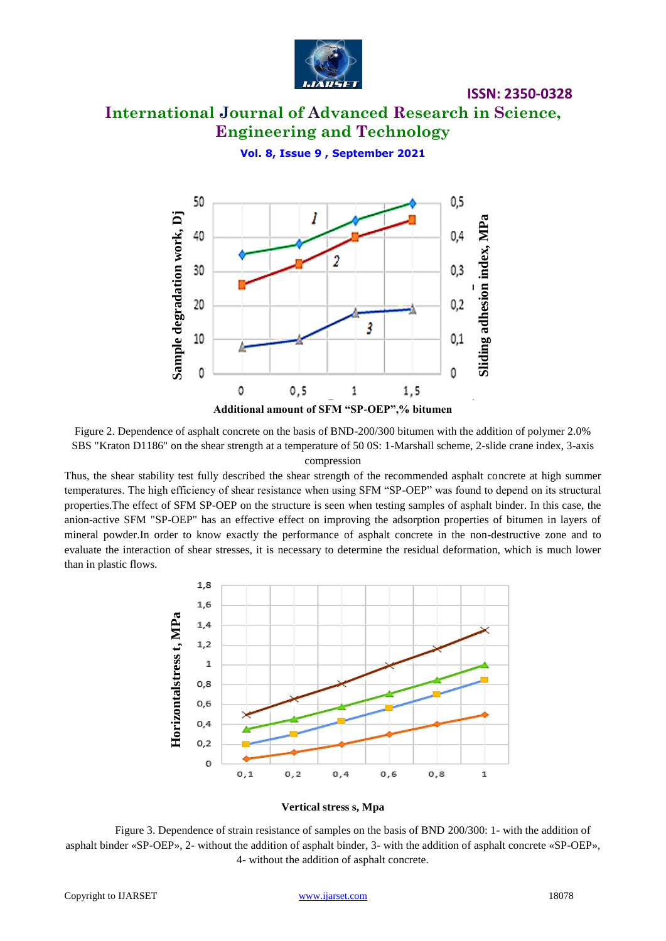

# **International Journal of Advanced Research in Science, Engineering and Technology**

**Vol. 8, Issue 9 , September 2021**



Figure 2. Dependence of asphalt concrete on the basis of BND-200/300 bitumen with the addition of polymer 2.0% SBS "Kraton D1186" on the shear strength at a temperature of 50 0S: 1-Marshall scheme, 2-slide crane index, 3-axis compression

Thus, the shear stability test fully described the shear strength of the recommended asphalt concrete at high summer temperatures. The high efficiency of shear resistance when using SFM "SP-OEP" was found to depend on its structural properties.The effect of SFM SP-OEP on the structure is seen when testing samples of asphalt binder. In this case, the anion-active SFM "SP-OEP" has an effective effect on improving the adsorption properties of bitumen in layers of mineral powder.In order to know exactly the performance of asphalt concrete in the non-destructive zone and to evaluate the interaction of shear stresses, it is necessary to determine the residual deformation, which is much lower than in plastic flows.



**Vertical stress s, Mpa**

Figure 3. Dependence of strain resistance of samples on the basis of BND 200/300: 1- with the addition of asphalt binder «SP-OEP», 2- without the addition of asphalt binder, 3- with the addition of asphalt concrete «SP-OEP», 4- without the addition of asphalt concrete.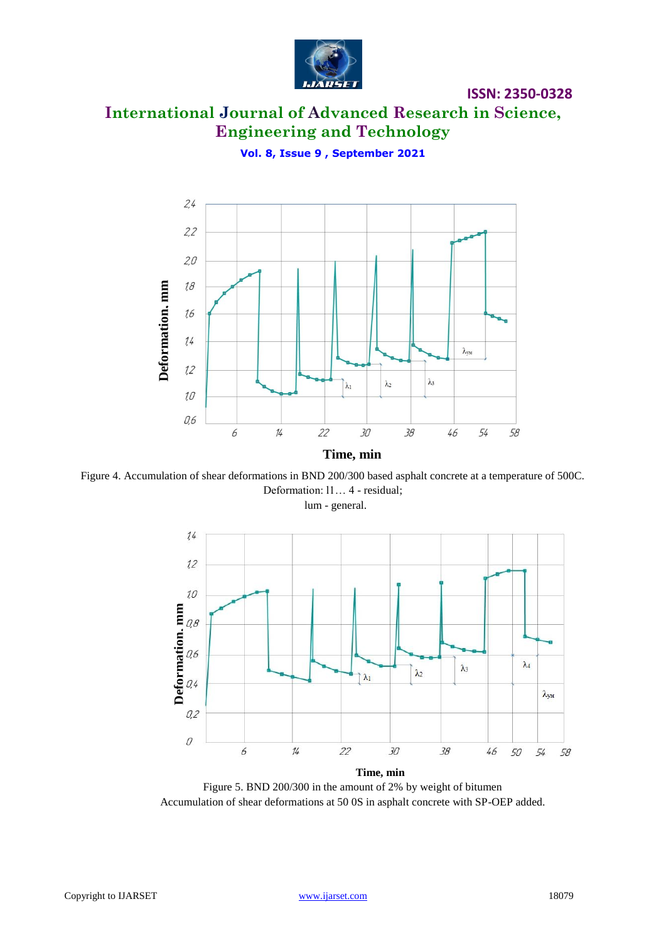

# **International Journal of Advanced Research in Science, Engineering and Technology**

**Vol. 8, Issue 9 , September 2021**



Figure 4. Accumulation of shear deformations in BND 200/300 based asphalt concrete at a temperature of 500C. Deformation: l1… 4 - residual;

lum - general.



Figure 5. BND 200/300 in the amount of 2% by weight of bitumen